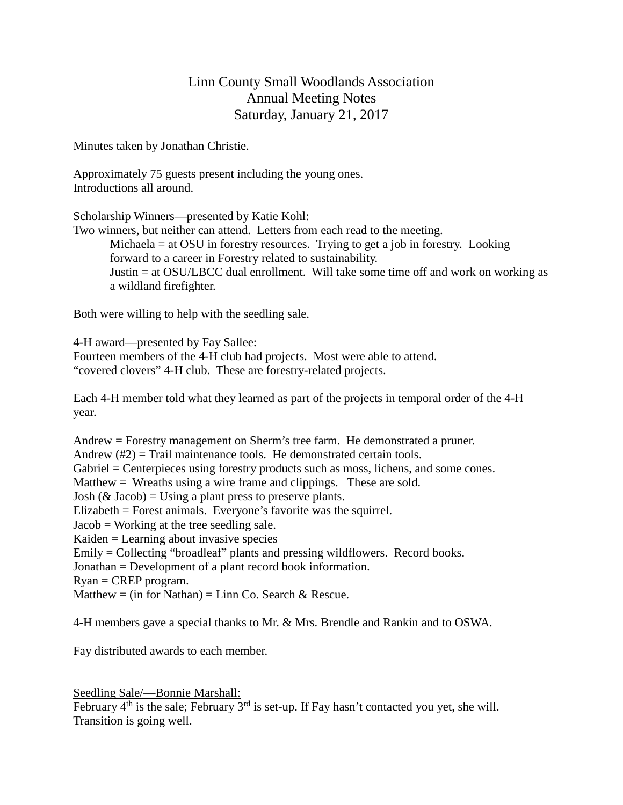## Linn County Small Woodlands Association Annual Meeting Notes Saturday, January 21, 2017

Minutes taken by Jonathan Christie.

Approximately 75 guests present including the young ones. Introductions all around.

Scholarship Winners—presented by Katie Kohl:

Two winners, but neither can attend. Letters from each read to the meeting. Michaela = at OSU in forestry resources. Trying to get a job in forestry. Looking forward to a career in Forestry related to sustainability. Justin = at OSU/LBCC dual enrollment. Will take some time off and work on working as a wildland firefighter.

Both were willing to help with the seedling sale.

4-H award—presented by Fay Sallee:

Fourteen members of the 4-H club had projects. Most were able to attend. "covered clovers" 4-H club. These are forestry-related projects.

Each 4-H member told what they learned as part of the projects in temporal order of the 4-H year.

Andrew = Forestry management on Sherm's tree farm. He demonstrated a pruner. Andrew  $(\#2)$  = Trail maintenance tools. He demonstrated certain tools. Gabriel = Centerpieces using forestry products such as moss, lichens, and some cones. Matthew = Wreaths using a wire frame and clippings. These are sold. Josh  $(\&$  Jacob) = Using a plant press to preserve plants. Elizabeth = Forest animals. Everyone's favorite was the squirrel. Jacob = Working at the tree seedling sale. Kaiden = Learning about invasive species Emily = Collecting "broadleaf" plants and pressing wildflowers. Record books. Jonathan = Development of a plant record book information. Ryan = CREP program. Matthew = (in for Nathan) = Linn Co. Search & Rescue.

4-H members gave a special thanks to Mr. & Mrs. Brendle and Rankin and to OSWA.

Fay distributed awards to each member.

Seedling Sale/—Bonnie Marshall:

February  $4<sup>th</sup>$  is the sale; February  $3<sup>rd</sup>$  is set-up. If Fay hasn't contacted you yet, she will. Transition is going well.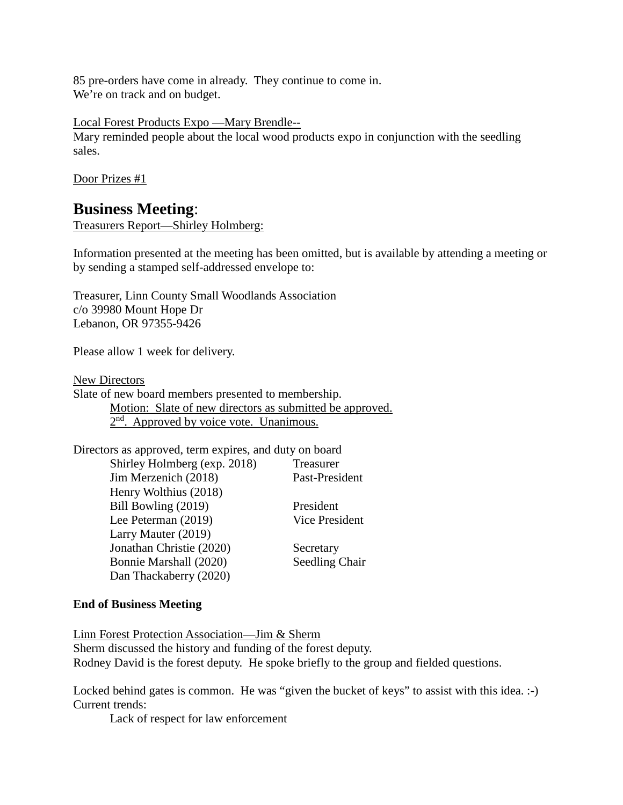85 pre-orders have come in already. They continue to come in. We're on track and on budget.

Local Forest Products Expo —Mary Brendle--

Mary reminded people about the local wood products expo in conjunction with the seedling sales.

Door Prizes #1

# **Business Meeting**:

Treasurers Report—Shirley Holmberg:

Information presented at the meeting has been omitted, but is available by attending a meeting or by sending a stamped self-addressed envelope to:

Treasurer, Linn County Small Woodlands Association c/o 39980 Mount Hope Dr Lebanon, OR 97355-9426

Please allow 1 week for delivery.

New Directors

Slate of new board members presented to membership. Motion: Slate of new directors as submitted be approved.  $2<sup>nd</sup>$ . Approved by voice vote. Unanimous.

| Directors as approved, term expires, and duty on board |                       |
|--------------------------------------------------------|-----------------------|
| Shirley Holmberg (exp. 2018)                           | Treasurer             |
| Jim Merzenich (2018)                                   | Past-President        |
| Henry Wolthius (2018)                                  |                       |
| Bill Bowling (2019)                                    | President             |
| Lee Peterman (2019)                                    | <b>Vice President</b> |
| Larry Mauter (2019)                                    |                       |
| Jonathan Christie (2020)                               | Secretary             |
| Bonnie Marshall (2020)                                 | Seedling Chair        |
| Dan Thackaberry (2020)                                 |                       |

### **End of Business Meeting**

Linn Forest Protection Association—Jim & Sherm Sherm discussed the history and funding of the forest deputy. Rodney David is the forest deputy. He spoke briefly to the group and fielded questions.

Locked behind gates is common. He was "given the bucket of keys" to assist with this idea. :-) Current trends:

Lack of respect for law enforcement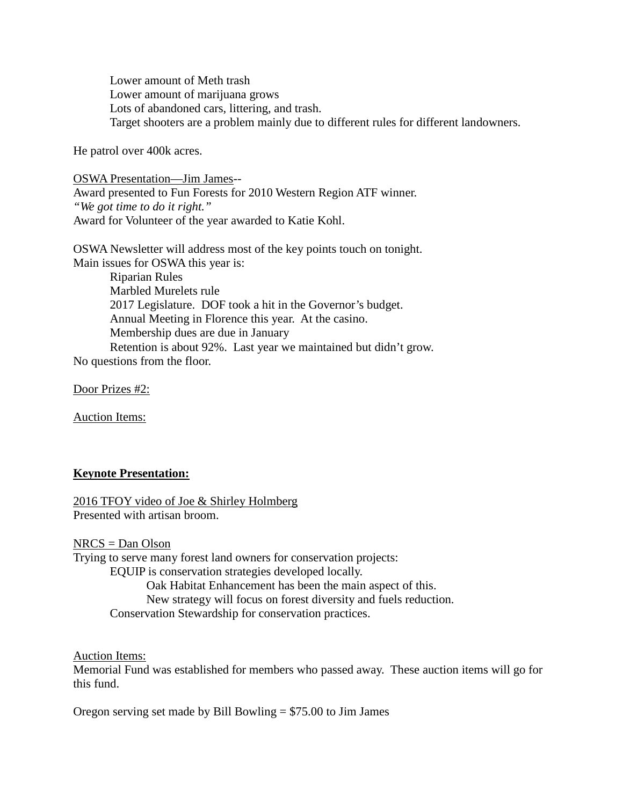Lower amount of Meth trash Lower amount of marijuana grows Lots of abandoned cars, littering, and trash. Target shooters are a problem mainly due to different rules for different landowners.

He patrol over 400k acres.

OSWA Presentation—Jim James-- Award presented to Fun Forests for 2010 Western Region ATF winner. *"We got time to do it right."* Award for Volunteer of the year awarded to Katie Kohl.

OSWA Newsletter will address most of the key points touch on tonight. Main issues for OSWA this year is:

Riparian Rules Marbled Murelets rule 2017 Legislature. DOF took a hit in the Governor's budget. Annual Meeting in Florence this year. At the casino. Membership dues are due in January Retention is about 92%. Last year we maintained but didn't grow. No questions from the floor.

Door Prizes #2:

Auction Items:

#### **Keynote Presentation:**

2016 TFOY video of Joe & Shirley Holmberg Presented with artisan broom.

NRCS = Dan Olson

Trying to serve many forest land owners for conservation projects:

EQUIP is conservation strategies developed locally.

Oak Habitat Enhancement has been the main aspect of this.

New strategy will focus on forest diversity and fuels reduction.

Conservation Stewardship for conservation practices.

Auction Items:

Memorial Fund was established for members who passed away. These auction items will go for this fund.

Oregon serving set made by Bill Bowling = \$75.00 to Jim James